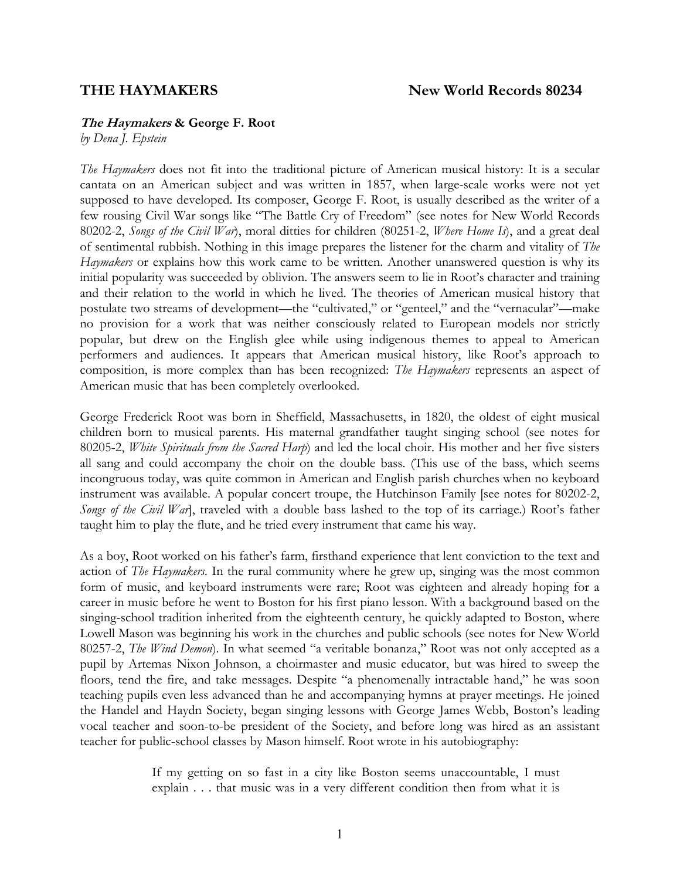#### **The Haymakers & George F. Root**

*by Dena J. Epstein* 

*The Haymakers* does not fit into the traditional picture of American musical history: It is a secular cantata on an American subject and was written in 1857, when large-scale works were not yet supposed to have developed. Its composer, George F. Root, is usually described as the writer of a few rousing Civil War songs like "The Battle Cry of Freedom" (see notes for New World Records 80202-2, *Songs of the Civil War*), moral ditties for children (80251-2, *Where Home Is*), and a great deal of sentimental rubbish. Nothing in this image prepares the listener for the charm and vitality of *The Haymakers* or explains how this work came to be written. Another unanswered question is why its initial popularity was succeeded by oblivion. The answers seem to lie in Root's character and training and their relation to the world in which he lived. The theories of American musical history that postulate two streams of development—the "cultivated," or "genteel," and the "vernacular"—make no provision for a work that was neither consciously related to European models nor strictly popular, but drew on the English glee while using indigenous themes to appeal to American performers and audiences. It appears that American musical history, like Root's approach to composition, is more complex than has been recognized: *The Haymakers* represents an aspect of American music that has been completely overlooked.

George Frederick Root was born in Sheffield, Massachusetts, in 1820, the oldest of eight musical children born to musical parents. His maternal grandfather taught singing school (see notes for 80205-2, *White Spirituals from the Sacred Harp*) and led the local choir. His mother and her five sisters all sang and could accompany the choir on the double bass. (This use of the bass, which seems incongruous today, was quite common in American and English parish churches when no keyboard instrument was available. A popular concert troupe, the Hutchinson Family [see notes for 80202-2, *Songs of the Civil War*], traveled with a double bass lashed to the top of its carriage.) Root's father taught him to play the flute, and he tried every instrument that came his way.

As a boy, Root worked on his father's farm, firsthand experience that lent conviction to the text and action of *The Haymakers.* In the rural community where he grew up, singing was the most common form of music, and keyboard instruments were rare; Root was eighteen and already hoping for a career in music before he went to Boston for his first piano lesson. With a background based on the singing-school tradition inherited from the eighteenth century, he quickly adapted to Boston, where Lowell Mason was beginning his work in the churches and public schools (see notes for New World 80257-2, *The Wind Demon*). In what seemed "a veritable bonanza," Root was not only accepted as a pupil by Artemas Nixon Johnson, a choirmaster and music educator, but was hired to sweep the floors, tend the fire, and take messages. Despite "a phenomenally intractable hand," he was soon teaching pupils even less advanced than he and accompanying hymns at prayer meetings. He joined the Handel and Haydn Society, began singing lessons with George James Webb, Boston's leading vocal teacher and soon-to-be president of the Society, and before long was hired as an assistant teacher for public-school classes by Mason himself. Root wrote in his autobiography:

> If my getting on so fast in a city like Boston seems unaccountable, I must explain . . . that music was in a very different condition then from what it is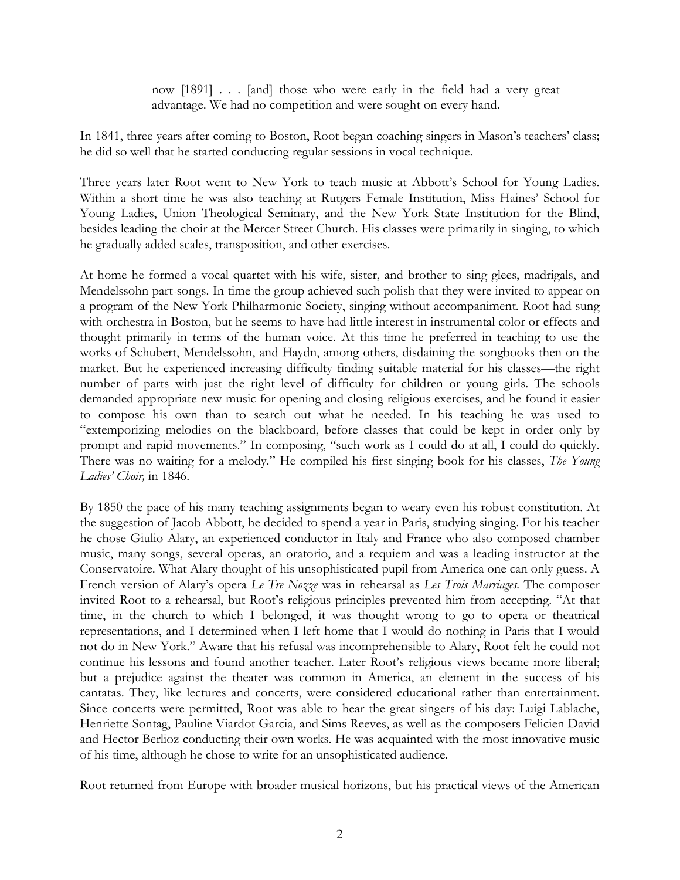now [1891] . . . [and] those who were early in the field had a very great advantage. We had no competition and were sought on every hand.

In 1841, three years after coming to Boston, Root began coaching singers in Mason's teachers' class; he did so well that he started conducting regular sessions in vocal technique.

Three years later Root went to New York to teach music at Abbott's School for Young Ladies. Within a short time he was also teaching at Rutgers Female Institution, Miss Haines' School for Young Ladies, Union Theological Seminary, and the New York State Institution for the Blind, besides leading the choir at the Mercer Street Church. His classes were primarily in singing, to which he gradually added scales, transposition, and other exercises.

At home he formed a vocal quartet with his wife, sister, and brother to sing glees, madrigals, and Mendelssohn part-songs. In time the group achieved such polish that they were invited to appear on a program of the New York Philharmonic Society, singing without accompaniment. Root had sung with orchestra in Boston, but he seems to have had little interest in instrumental color or effects and thought primarily in terms of the human voice. At this time he preferred in teaching to use the works of Schubert, Mendelssohn, and Haydn, among others, disdaining the songbooks then on the market. But he experienced increasing difficulty finding suitable material for his classes—the right number of parts with just the right level of difficulty for children or young girls. The schools demanded appropriate new music for opening and closing religious exercises, and he found it easier to compose his own than to search out what he needed. In his teaching he was used to "extemporizing melodies on the blackboard, before classes that could be kept in order only by prompt and rapid movements." In composing, "such work as I could do at all, I could do quickly. There was no waiting for a melody." He compiled his first singing book for his classes, *The Young Ladies' Choir,* in 1846.

By 1850 the pace of his many teaching assignments began to weary even his robust constitution. At the suggestion of Jacob Abbott, he decided to spend a year in Paris, studying singing. For his teacher he chose Giulio Alary, an experienced conductor in Italy and France who also composed chamber music, many songs, several operas, an oratorio, and a requiem and was a leading instructor at the Conservatoire. What Alary thought of his unsophisticated pupil from America one can only guess. A French version of Alary's opera *Le Tre Nozze* was in rehearsal as *Les Trois Marriages.* The composer invited Root to a rehearsal, but Root's religious principles prevented him from accepting. "At that time, in the church to which I belonged, it was thought wrong to go to opera or theatrical representations, and I determined when I left home that I would do nothing in Paris that I would not do in New York." Aware that his refusal was incomprehensible to Alary, Root felt he could not continue his lessons and found another teacher. Later Root's religious views became more liberal; but a prejudice against the theater was common in America, an element in the success of his cantatas. They, like lectures and concerts, were considered educational rather than entertainment. Since concerts were permitted, Root was able to hear the great singers of his day: Luigi Lablache, Henriette Sontag, Pauline Viardot Garcia, and Sims Reeves, as well as the composers Felicien David and Hector Berlioz conducting their own works. He was acquainted with the most innovative music of his time, although he chose to write for an unsophisticated audience.

Root returned from Europe with broader musical horizons, but his practical views of the American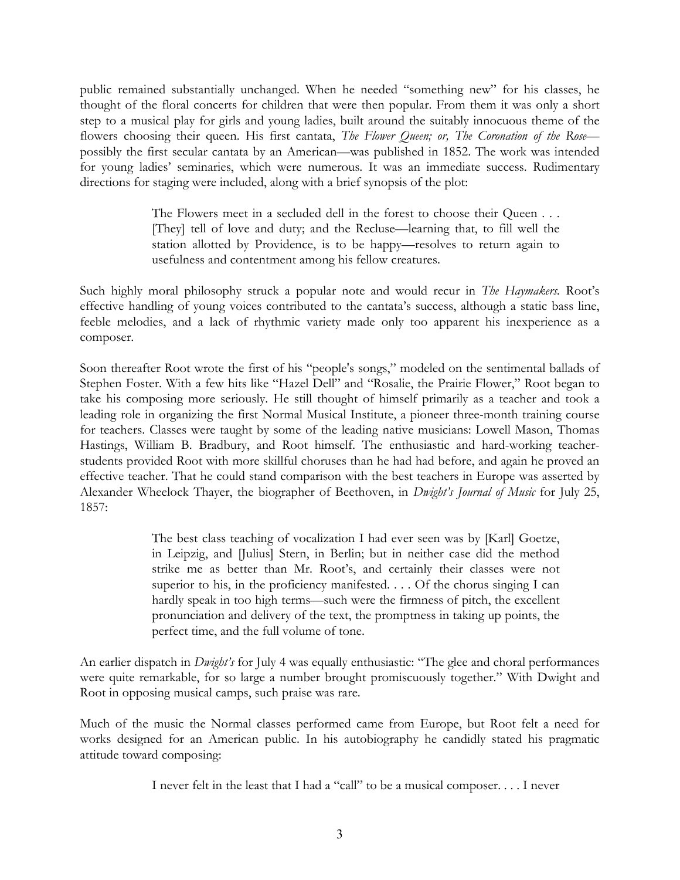public remained substantially unchanged. When he needed "something new" for his classes, he thought of the floral concerts for children that were then popular. From them it was only a short step to a musical play for girls and young ladies, built around the suitably innocuous theme of the flowers choosing their queen. His first cantata, *The Flower Queen; or, The Coronation of the Rose* possibly the first secular cantata by an American—was published in 1852. The work was intended for young ladies' seminaries, which were numerous. It was an immediate success. Rudimentary directions for staging were included, along with a brief synopsis of the plot:

> The Flowers meet in a secluded dell in the forest to choose their Queen . . . [They] tell of love and duty; and the Recluse—learning that, to fill well the station allotted by Providence, is to be happy—resolves to return again to usefulness and contentment among his fellow creatures.

Such highly moral philosophy struck a popular note and would recur in *The Haymakers.* Root's effective handling of young voices contributed to the cantata's success, although a static bass line, feeble melodies, and a lack of rhythmic variety made only too apparent his inexperience as a composer.

Soon thereafter Root wrote the first of his "people's songs," modeled on the sentimental ballads of Stephen Foster. With a few hits like "Hazel Dell" and "Rosalie, the Prairie Flower," Root began to take his composing more seriously. He still thought of himself primarily as a teacher and took a leading role in organizing the first Normal Musical Institute, a pioneer three-month training course for teachers. Classes were taught by some of the leading native musicians: Lowell Mason, Thomas Hastings, William B. Bradbury, and Root himself. The enthusiastic and hard-working teacherstudents provided Root with more skillful choruses than he had had before, and again he proved an effective teacher. That he could stand comparison with the best teachers in Europe was asserted by Alexander Wheelock Thayer, the biographer of Beethoven, in *Dwight's Journal of Music* for July 25, 1857:

> The best class teaching of vocalization I had ever seen was by [Karl] Goetze, in Leipzig, and [Julius] Stern, in Berlin; but in neither case did the method strike me as better than Mr. Root's, and certainly their classes were not superior to his, in the proficiency manifested. . . . Of the chorus singing I can hardly speak in too high terms—such were the firmness of pitch, the excellent pronunciation and delivery of the text, the promptness in taking up points, the perfect time, and the full volume of tone.

An earlier dispatch in *Dwight's* for July 4 was equally enthusiastic: "The glee and choral performances were quite remarkable, for so large a number brought promiscuously together." With Dwight and Root in opposing musical camps, such praise was rare.

Much of the music the Normal classes performed came from Europe, but Root felt a need for works designed for an American public. In his autobiography he candidly stated his pragmatic attitude toward composing:

I never felt in the least that I had a "call" to be a musical composer. . . . I never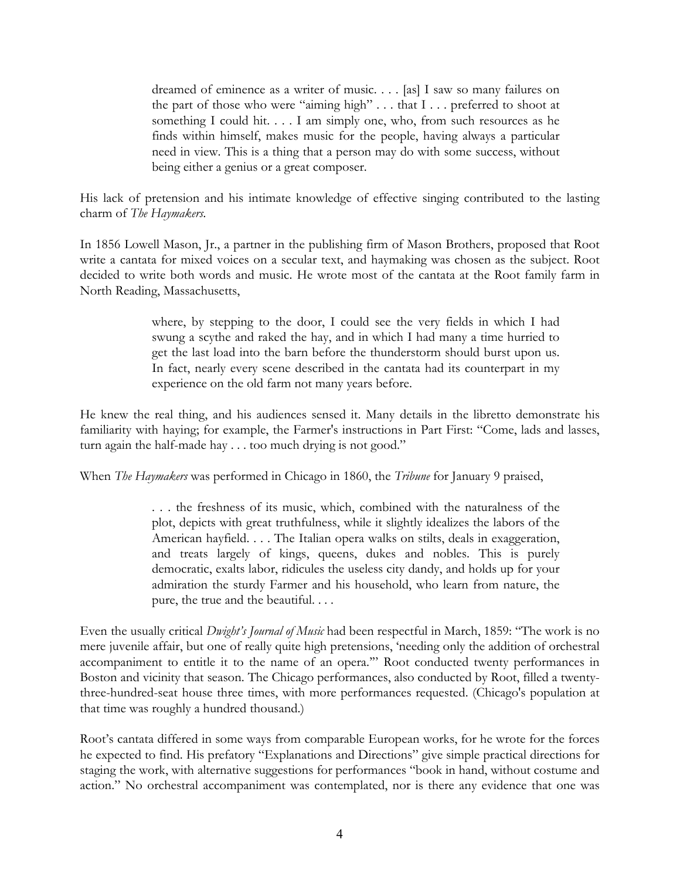dreamed of eminence as a writer of music. . . . [as] I saw so many failures on the part of those who were "aiming high" . . . that I . . . preferred to shoot at something I could hit. . . . I am simply one, who, from such resources as he finds within himself, makes music for the people, having always a particular need in view. This is a thing that a person may do with some success, without being either a genius or a great composer.

His lack of pretension and his intimate knowledge of effective singing contributed to the lasting charm of *The Haymakers.*

In 1856 Lowell Mason, Jr., a partner in the publishing firm of Mason Brothers, proposed that Root write a cantata for mixed voices on a secular text, and haymaking was chosen as the subject. Root decided to write both words and music. He wrote most of the cantata at the Root family farm in North Reading, Massachusetts,

> where, by stepping to the door, I could see the very fields in which I had swung a scythe and raked the hay, and in which I had many a time hurried to get the last load into the barn before the thunderstorm should burst upon us. In fact, nearly every scene described in the cantata had its counterpart in my experience on the old farm not many years before.

He knew the real thing, and his audiences sensed it. Many details in the libretto demonstrate his familiarity with haying; for example, the Farmer's instructions in Part First: "Come, lads and lasses, turn again the half-made hay . . . too much drying is not good."

When *The Haymakers* was performed in Chicago in 1860, the *Tribune* for January 9 praised,

. . . the freshness of its music, which, combined with the naturalness of the plot, depicts with great truthfulness, while it slightly idealizes the labors of the American hayfield. . . . The Italian opera walks on stilts, deals in exaggeration, and treats largely of kings, queens, dukes and nobles. This is purely democratic, exalts labor, ridicules the useless city dandy, and holds up for your admiration the sturdy Farmer and his household, who learn from nature, the pure, the true and the beautiful. . . .

Even the usually critical *Dwight's Journal of Music* had been respectful in March, 1859: "The work is no mere juvenile affair, but one of really quite high pretensions, 'needing only the addition of orchestral accompaniment to entitle it to the name of an opera.'" Root conducted twenty performances in Boston and vicinity that season. The Chicago performances, also conducted by Root, filled a twentythree-hundred-seat house three times, with more performances requested. (Chicago's population at that time was roughly a hundred thousand.)

Root's cantata differed in some ways from comparable European works, for he wrote for the forces he expected to find. His prefatory "Explanations and Directions" give simple practical directions for staging the work, with alternative suggestions for performances "book in hand, without costume and action." No orchestral accompaniment was contemplated, nor is there any evidence that one was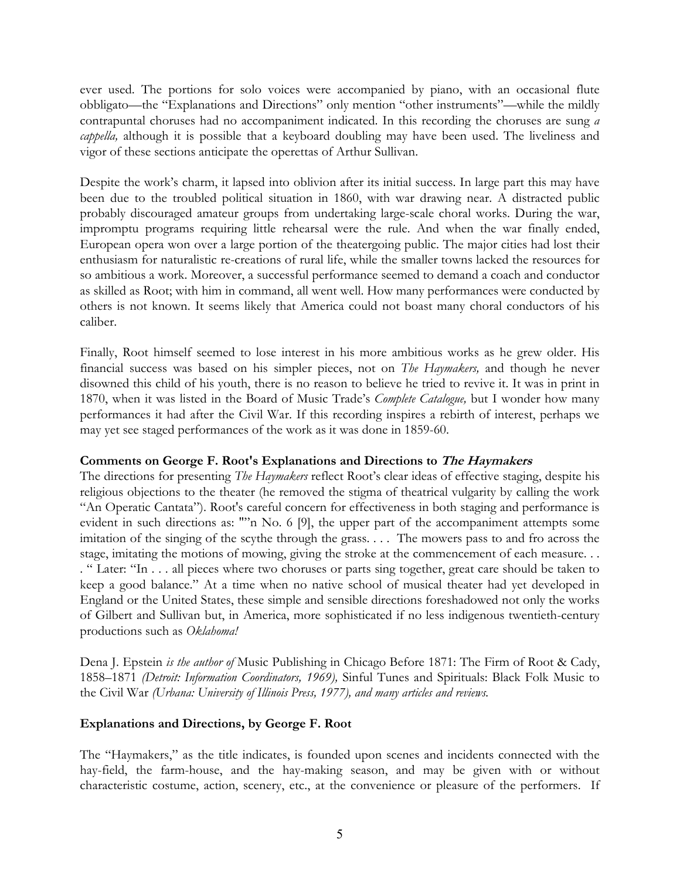ever used. The portions for solo voices were accompanied by piano, with an occasional flute obbligato—the "Explanations and Directions" only mention "other instruments"—while the mildly contrapuntal choruses had no accompaniment indicated. In this recording the choruses are sung *a cappella,* although it is possible that a keyboard doubling may have been used. The liveliness and vigor of these sections anticipate the operettas of Arthur Sullivan.

Despite the work's charm, it lapsed into oblivion after its initial success. In large part this may have been due to the troubled political situation in 1860, with war drawing near. A distracted public probably discouraged amateur groups from undertaking large-scale choral works. During the war, impromptu programs requiring little rehearsal were the rule. And when the war finally ended, European opera won over a large portion of the theatergoing public. The major cities had lost their enthusiasm for naturalistic re-creations of rural life, while the smaller towns lacked the resources for so ambitious a work. Moreover, a successful performance seemed to demand a coach and conductor as skilled as Root; with him in command, all went well. How many performances were conducted by others is not known. It seems likely that America could not boast many choral conductors of his caliber.

Finally, Root himself seemed to lose interest in his more ambitious works as he grew older. His financial success was based on his simpler pieces, not on *The Haymakers,* and though he never disowned this child of his youth, there is no reason to believe he tried to revive it. It was in print in 1870, when it was listed in the Board of Music Trade's *Complete Catalogue,* but I wonder how many performances it had after the Civil War. If this recording inspires a rebirth of interest, perhaps we may yet see staged performances of the work as it was done in 1859-60.

# **Comments on George F. Root's Explanations and Directions to The Haymakers**

The directions for presenting *The Haymakers* reflect Root's clear ideas of effective staging, despite his religious objections to the theater (he removed the stigma of theatrical vulgarity by calling the work "An Operatic Cantata"). Root's careful concern for effectiveness in both staging and performance is evident in such directions as: ""n No. 6 [9], the upper part of the accompaniment attempts some imitation of the singing of the scythe through the grass. . . . The mowers pass to and fro across the stage, imitating the motions of mowing, giving the stroke at the commencement of each measure. . . . " Later: "In . . . all pieces where two choruses or parts sing together, great care should be taken to keep a good balance." At a time when no native school of musical theater had yet developed in England or the United States, these simple and sensible directions foreshadowed not only the works of Gilbert and Sullivan but, in America, more sophisticated if no less indigenous twentieth-century productions such as *Oklahoma!*

Dena J. Epstein *is the author of* Music Publishing in Chicago Before 1871: The Firm of Root & Cady, 1858–1871 *(Detroit: Information Coordinators, 1969),* Sinful Tunes and Spirituals: Black Folk Music to the Civil War *(Urbana: University of Illinois Press, 1977), and many articles and reviews.* 

# **Explanations and Directions, by George F. Root**

The "Haymakers," as the title indicates, is founded upon scenes and incidents connected with the hay-field, the farm-house, and the hay-making season, and may be given with or without characteristic costume, action, scenery, etc., at the convenience or pleasure of the performers. If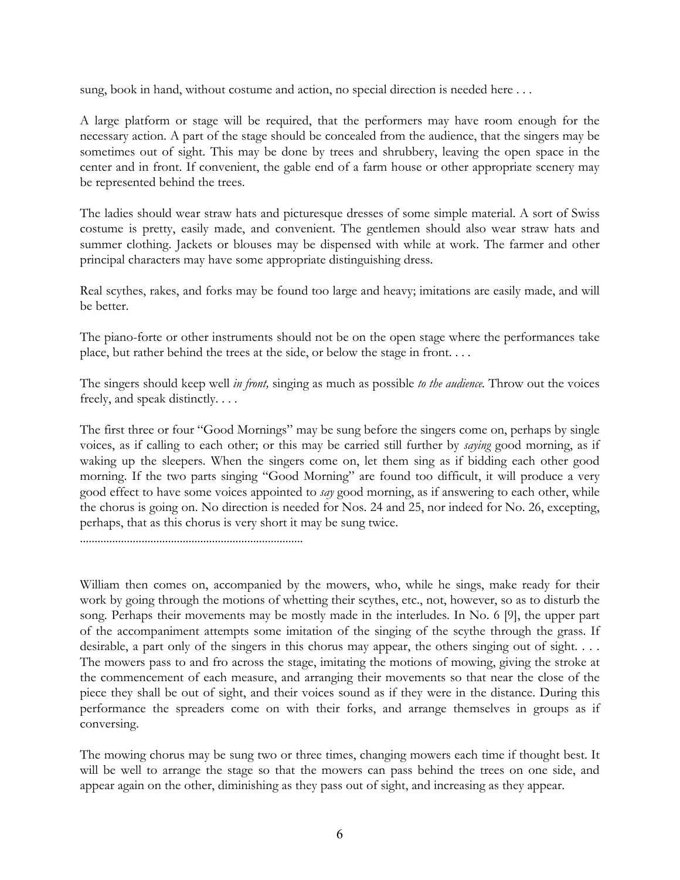sung, book in hand, without costume and action, no special direction is needed here . . .

A large platform or stage will be required, that the performers may have room enough for the necessary action. A part of the stage should be concealed from the audience, that the singers may be sometimes out of sight. This may be done by trees and shrubbery, leaving the open space in the center and in front. If convenient, the gable end of a farm house or other appropriate scenery may be represented behind the trees.

The ladies should wear straw hats and picturesque dresses of some simple material. A sort of Swiss costume is pretty, easily made, and convenient. The gentlemen should also wear straw hats and summer clothing. Jackets or blouses may be dispensed with while at work. The farmer and other principal characters may have some appropriate distinguishing dress.

Real scythes, rakes, and forks may be found too large and heavy; imitations are easily made, and will be better.

The piano-forte or other instruments should not be on the open stage where the performances take place, but rather behind the trees at the side, or below the stage in front. . . .

The singers should keep well *in front,* singing as much as possible *to the audience.* Throw out the voices freely, and speak distinctly. . . .

The first three or four "Good Mornings" may be sung before the singers come on, perhaps by single voices, as if calling to each other; or this may be carried still further by *saying* good morning, as if waking up the sleepers. When the singers come on, let them sing as if bidding each other good morning. If the two parts singing "Good Morning" are found too difficult, it will produce a very good effect to have some voices appointed to *say* good morning, as if answering to each other, while the chorus is going on. No direction is needed for Nos. 24 and 25, nor indeed for No. 26, excepting, perhaps, that as this chorus is very short it may be sung twice.

............................................................................

William then comes on, accompanied by the mowers, who, while he sings, make ready for their work by going through the motions of whetting their scythes, etc., not, however, so as to disturb the song. Perhaps their movements may be mostly made in the interludes. In No. 6 [9], the upper part of the accompaniment attempts some imitation of the singing of the scythe through the grass. If desirable, a part only of the singers in this chorus may appear, the others singing out of sight. . . . The mowers pass to and fro across the stage, imitating the motions of mowing, giving the stroke at the commencement of each measure, and arranging their movements so that near the close of the piece they shall be out of sight, and their voices sound as if they were in the distance. During this performance the spreaders come on with their forks, and arrange themselves in groups as if conversing.

The mowing chorus may be sung two or three times, changing mowers each time if thought best. It will be well to arrange the stage so that the mowers can pass behind the trees on one side, and appear again on the other, diminishing as they pass out of sight, and increasing as they appear.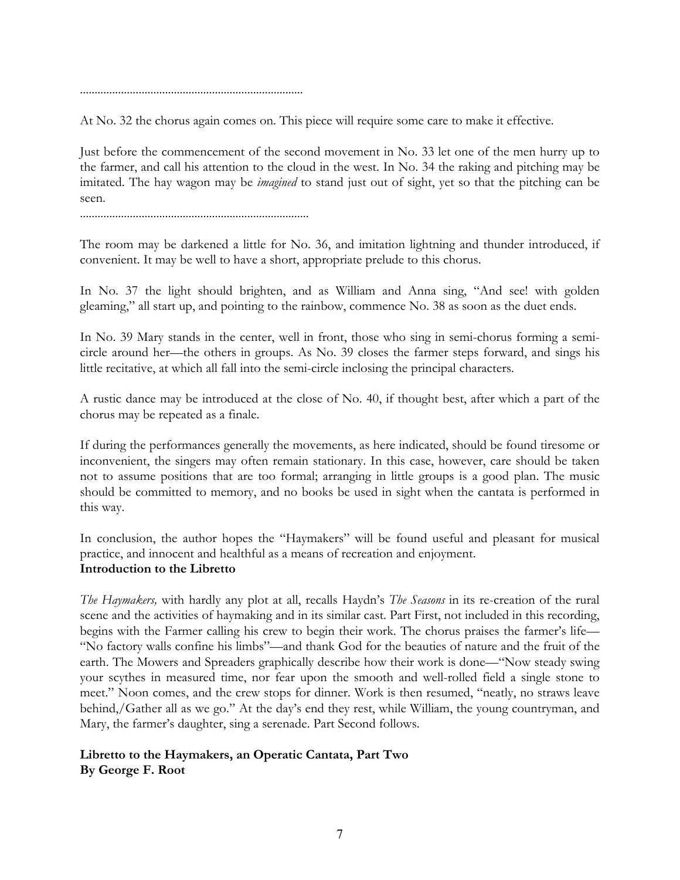............................................................................

At No. 32 the chorus again comes on. This piece will require some care to make it effective.

Just before the commencement of the second movement in No. 33 let one of the men hurry up to the farmer, and call his attention to the cloud in the west. In No. 34 the raking and pitching may be imitated. The hay wagon may be *imagined* to stand just out of sight, yet so that the pitching can be seen.

..............................................................................

The room may be darkened a little for No. 36, and imitation lightning and thunder introduced, if convenient. It may be well to have a short, appropriate prelude to this chorus.

In No. 37 the light should brighten, and as William and Anna sing, "And see! with golden gleaming," all start up, and pointing to the rainbow, commence No. 38 as soon as the duet ends.

In No. 39 Mary stands in the center, well in front, those who sing in semi-chorus forming a semicircle around her—the others in groups. As No. 39 closes the farmer steps forward, and sings his little recitative, at which all fall into the semi-circle inclosing the principal characters.

A rustic dance may be introduced at the close of No. 40, if thought best, after which a part of the chorus may be repeated as a finale.

If during the performances generally the movements, as here indicated, should be found tiresome or inconvenient, the singers may often remain stationary. In this case, however, care should be taken not to assume positions that are too formal; arranging in little groups is a good plan. The music should be committed to memory, and no books be used in sight when the cantata is performed in this way.

In conclusion, the author hopes the "Haymakers" will be found useful and pleasant for musical practice, and innocent and healthful as a means of recreation and enjoyment. **Introduction to the Libretto**

*The Haymakers,* with hardly any plot at all, recalls Haydn's *The Seasons* in its re-creation of the rural scene and the activities of haymaking and in its similar cast. Part First, not included in this recording, begins with the Farmer calling his crew to begin their work. The chorus praises the farmer's life— "No factory walls confine his limbs"—and thank God for the beauties of nature and the fruit of the earth. The Mowers and Spreaders graphically describe how their work is done—"Now steady swing your scythes in measured time, nor fear upon the smooth and well-rolled field a single stone to meet." Noon comes, and the crew stops for dinner. Work is then resumed, "neatly, no straws leave behind,/Gather all as we go." At the day's end they rest, while William, the young countryman, and Mary, the farmer's daughter, sing a serenade. Part Second follows.

# **Libretto to the Haymakers, an Operatic Cantata, Part Two By George F. Root**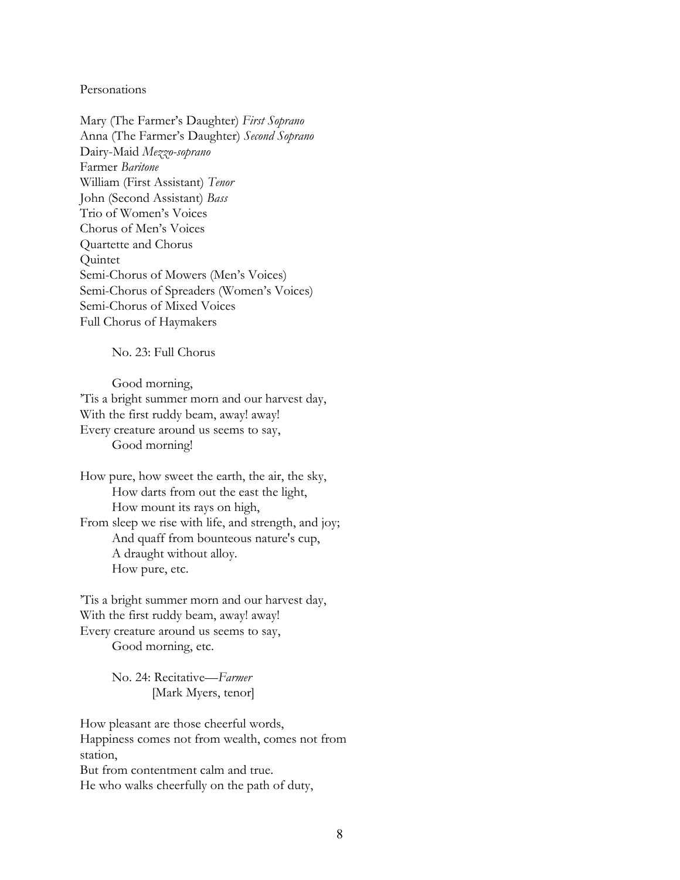#### Personations

Mary (The Farmer's Daughter) *First Soprano* Anna (The Farmer's Daughter) *Second Soprano* Dairy-Maid *Mezzo-soprano* Farmer *Baritone* William (First Assistant) *Tenor* John (Second Assistant) *Bass* Trio of Women's Voices Chorus of Men's Voices Quartette and Chorus Quintet Semi-Chorus of Mowers (Men's Voices) Semi-Chorus of Spreaders (Women's Voices) Semi-Chorus of Mixed Voices Full Chorus of Haymakers

No. 23: Full Chorus

 Good morning, 'Tis a bright summer morn and our harvest day, With the first ruddy beam, away! away! Every creature around us seems to say, Good morning!

How pure, how sweet the earth, the air, the sky, How darts from out the east the light, How mount its rays on high, From sleep we rise with life, and strength, and joy; And quaff from bounteous nature's cup, A draught without alloy. How pure, etc.

'Tis a bright summer morn and our harvest day, With the first ruddy beam, away! away! Every creature around us seems to say, Good morning, etc.

> No. 24: Recitative—*Farmer* [Mark Myers, tenor]

How pleasant are those cheerful words, Happiness comes not from wealth, comes not from station, But from contentment calm and true. He who walks cheerfully on the path of duty,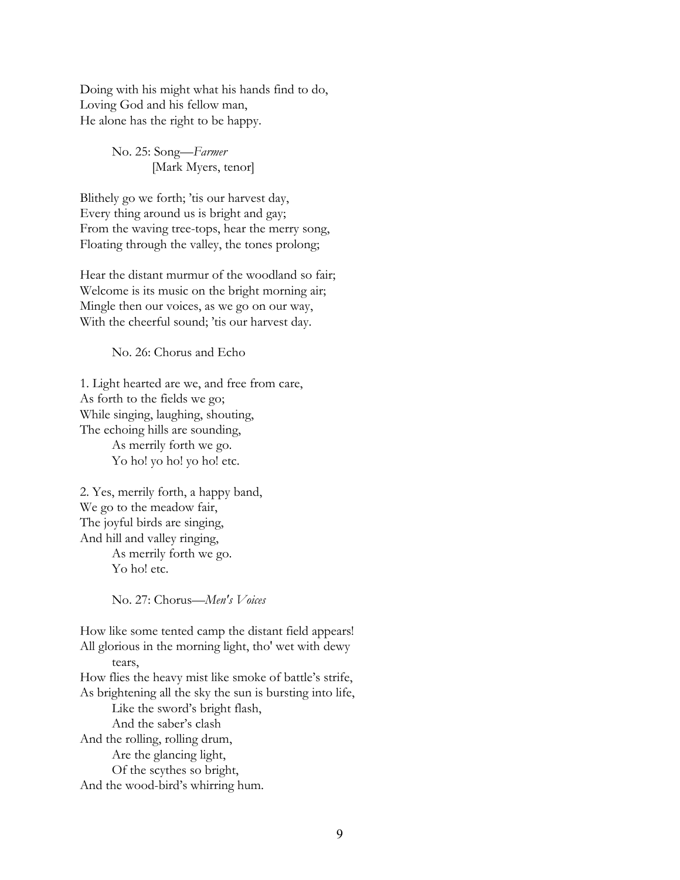Doing with his might what his hands find to do, Loving God and his fellow man, He alone has the right to be happy.

> No. 25: Song—*Farmer* [Mark Myers, tenor]

Blithely go we forth; 'tis our harvest day, Every thing around us is bright and gay; From the waving tree-tops, hear the merry song, Floating through the valley, the tones prolong;

Hear the distant murmur of the woodland so fair; Welcome is its music on the bright morning air; Mingle then our voices, as we go on our way, With the cheerful sound; 'tis our harvest day.

No. 26: Chorus and Echo

1. Light hearted are we, and free from care, As forth to the fields we go; While singing, laughing, shouting, The echoing hills are sounding, As merrily forth we go. Yo ho! yo ho! yo ho! etc.

2. Yes, merrily forth, a happy band, We go to the meadow fair, The joyful birds are singing, And hill and valley ringing, As merrily forth we go. Yo ho! etc.

No. 27: Chorus—*Men's Voices*

How like some tented camp the distant field appears! All glorious in the morning light, tho' wet with dewy tears, How flies the heavy mist like smoke of battle's strife, As brightening all the sky the sun is bursting into life, Like the sword's bright flash, And the saber's clash And the rolling, rolling drum, Are the glancing light, Of the scythes so bright, And the wood-bird's whirring hum.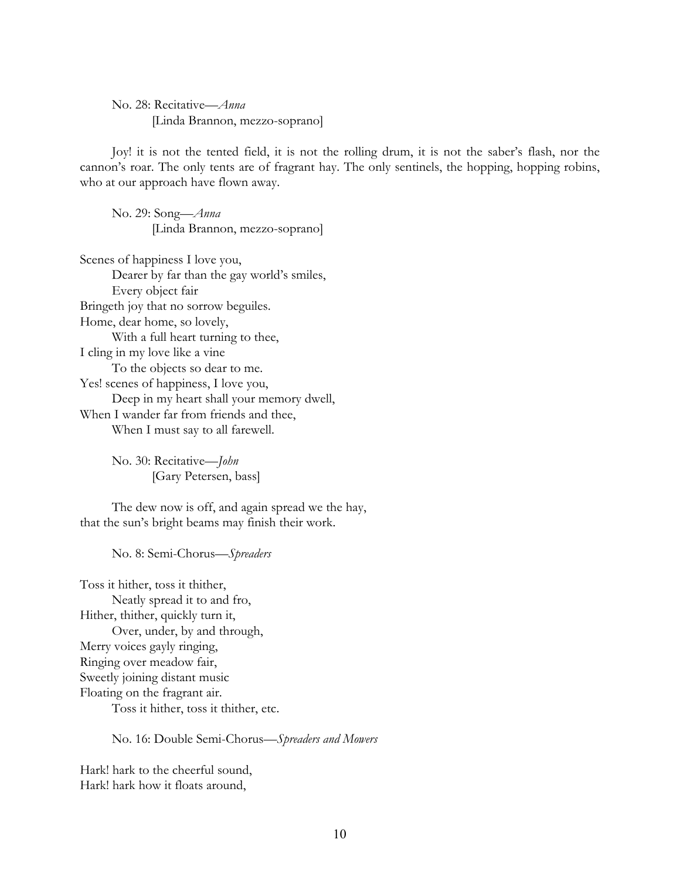No. 28: Recitative—*Anna* [Linda Brannon, mezzo-soprano]

Joy! it is not the tented field, it is not the rolling drum, it is not the saber's flash, nor the cannon's roar. The only tents are of fragrant hay. The only sentinels, the hopping, hopping robins, who at our approach have flown away.

No. 29: Song—*Anna* [Linda Brannon, mezzo-soprano]

Scenes of happiness I love you, Dearer by far than the gay world's smiles, Every object fair Bringeth joy that no sorrow beguiles. Home, dear home, so lovely, With a full heart turning to thee, I cling in my love like a vine To the objects so dear to me. Yes! scenes of happiness, I love you, Deep in my heart shall your memory dwell, When I wander far from friends and thee, When I must say to all farewell.

> No. 30: Recitative—*John* [Gary Petersen, bass]

The dew now is off, and again spread we the hay, that the sun's bright beams may finish their work.

No. 8: Semi-Chorus—*Spreaders*

Toss it hither, toss it thither, Neatly spread it to and fro, Hither, thither, quickly turn it, Over, under, by and through, Merry voices gayly ringing, Ringing over meadow fair, Sweetly joining distant music Floating on the fragrant air. Toss it hither, toss it thither, etc.

No. 16: Double Semi-Chorus—*Spreaders and Mowers*

Hark! hark to the cheerful sound, Hark! hark how it floats around,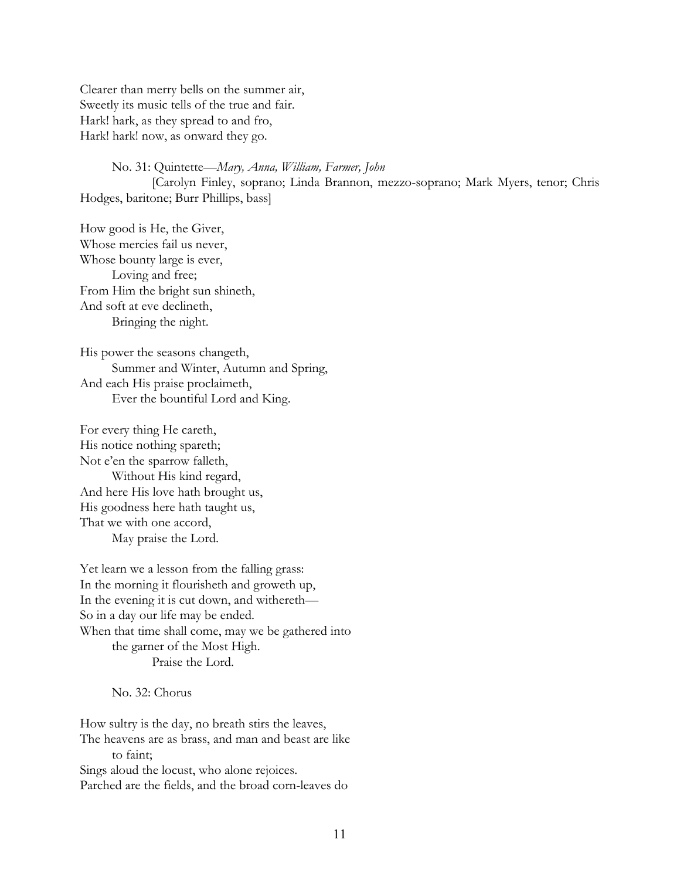Clearer than merry bells on the summer air, Sweetly its music tells of the true and fair. Hark! hark, as they spread to and fro, Hark! hark! now, as onward they go.

No. 31: Quintette—*Mary, Anna, William, Farmer, John* [Carolyn Finley, soprano; Linda Brannon, mezzo-soprano; Mark Myers, tenor; Chris Hodges, baritone; Burr Phillips, bass]

How good is He, the Giver, Whose mercies fail us never, Whose bounty large is ever, Loving and free; From Him the bright sun shineth, And soft at eve declineth, Bringing the night.

His power the seasons changeth, Summer and Winter, Autumn and Spring, And each His praise proclaimeth, Ever the bountiful Lord and King.

For every thing He careth, His notice nothing spareth; Not e'en the sparrow falleth, Without His kind regard, And here His love hath brought us, His goodness here hath taught us, That we with one accord, May praise the Lord.

Yet learn we a lesson from the falling grass: In the morning it flourisheth and groweth up, In the evening it is cut down, and withereth— So in a day our life may be ended. When that time shall come, may we be gathered into the garner of the Most High. Praise the Lord.

No. 32: Chorus

How sultry is the day, no breath stirs the leaves, The heavens are as brass, and man and beast are like to faint; Sings aloud the locust, who alone rejoices. Parched are the fields, and the broad corn-leaves do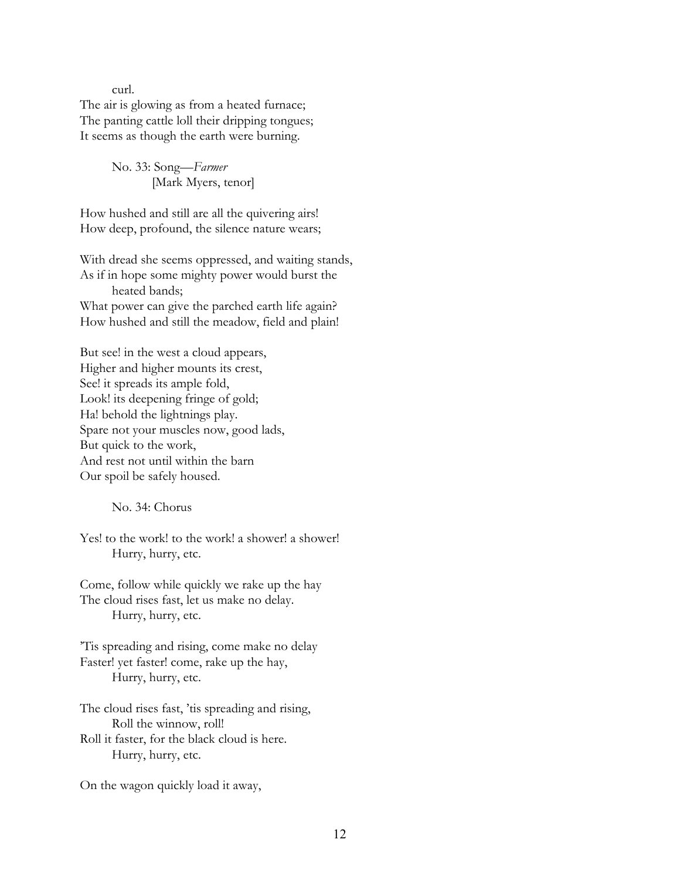curl.

The air is glowing as from a heated furnace; The panting cattle loll their dripping tongues; It seems as though the earth were burning.

> No. 33: Song—*Farmer* [Mark Myers, tenor]

How hushed and still are all the quivering airs! How deep, profound, the silence nature wears;

With dread she seems oppressed, and waiting stands, As if in hope some mighty power would burst the heated bands; What power can give the parched earth life again? How hushed and still the meadow, field and plain!

But see! in the west a cloud appears, Higher and higher mounts its crest, See! it spreads its ample fold, Look! its deepening fringe of gold; Ha! behold the lightnings play. Spare not your muscles now, good lads, But quick to the work, And rest not until within the barn Our spoil be safely housed.

No. 34: Chorus

Yes! to the work! to the work! a shower! a shower! Hurry, hurry, etc.

Come, follow while quickly we rake up the hay The cloud rises fast, let us make no delay. Hurry, hurry, etc.

'Tis spreading and rising, come make no delay Faster! yet faster! come, rake up the hay, Hurry, hurry, etc.

The cloud rises fast, 'tis spreading and rising, Roll the winnow, roll! Roll it faster, for the black cloud is here. Hurry, hurry, etc.

On the wagon quickly load it away,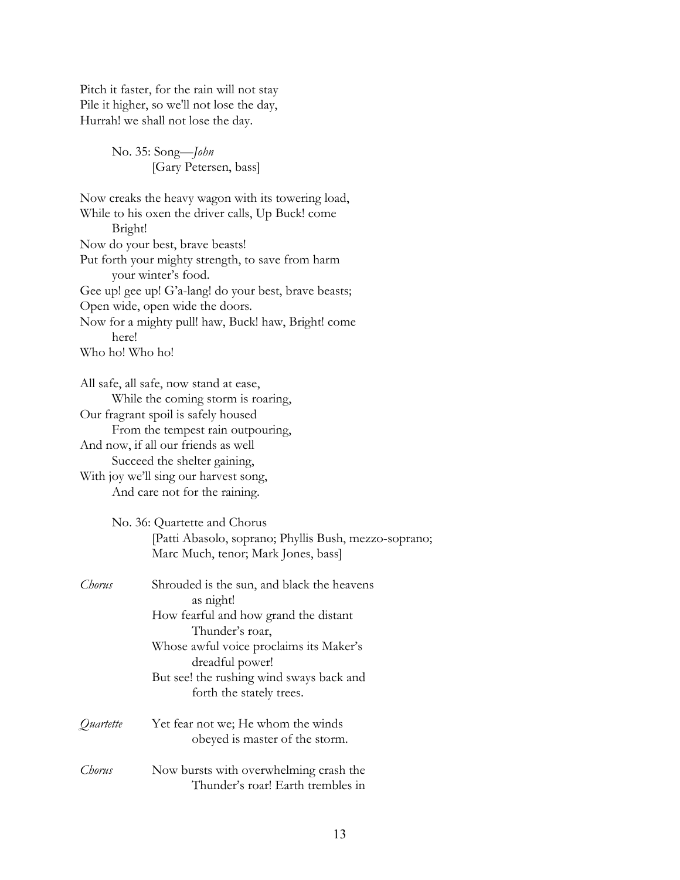Pitch it faster, for the rain will not stay Pile it higher, so we'll not lose the day, Hurrah! we shall not lose the day.

> No. 35: Song—*John* [Gary Petersen, bass]

Now creaks the heavy wagon with its towering load, While to his oxen the driver calls, Up Buck! come Bright! Now do your best, brave beasts! Put forth your mighty strength, to save from harm your winter's food. Gee up! gee up! G'a-lang! do your best, brave beasts; Open wide, open wide the doors. Now for a mighty pull! haw, Buck! haw, Bright! come here! Who ho! Who ho! All safe, all safe, now stand at ease, While the coming storm is roaring, Our fragrant spoil is safely housed From the tempest rain outpouring, And now, if all our friends as well Succeed the shelter gaining, With joy we'll sing our harvest song, And care not for the raining. No. 36: Quartette and Chorus [Patti Abasolo, soprano; Phyllis Bush, mezzo-soprano; Marc Much, tenor; Mark Jones, bass] *Chorus* Shrouded is the sun, and black the heavens as night! How fearful and how grand the distant Thunder's roar, Whose awful voice proclaims its Maker's dreadful power! But see! the rushing wind sways back and forth the stately trees. *Quartette* Yet fear not we; He whom the winds obeyed is master of the storm. *Chorus* Now bursts with overwhelming crash the Thunder's roar! Earth trembles in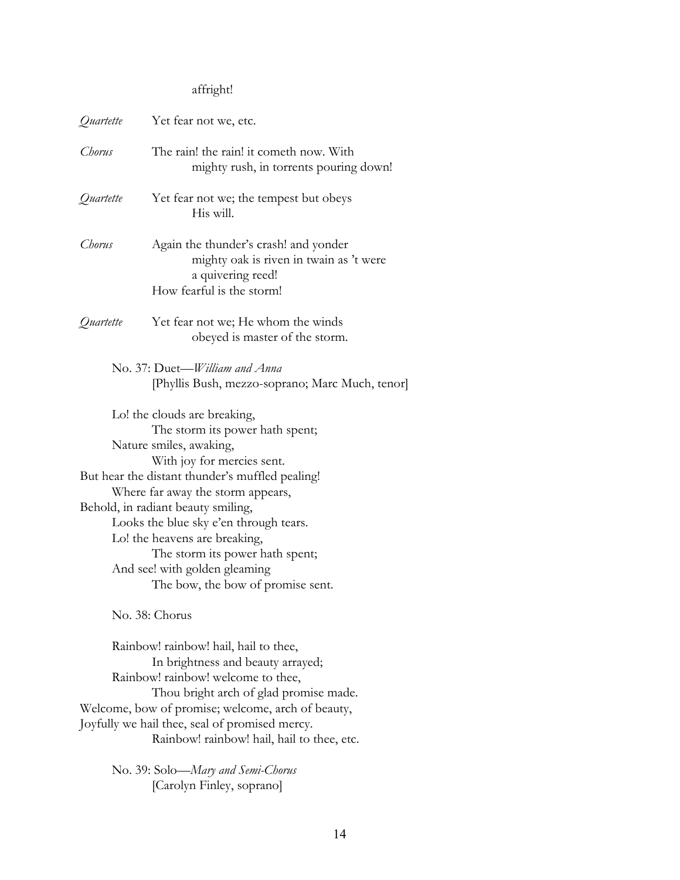# affright!

| Quartette                                                                                                                                                                                                                                                                                                       | Yet fear not we, etc.                                                                                                              |
|-----------------------------------------------------------------------------------------------------------------------------------------------------------------------------------------------------------------------------------------------------------------------------------------------------------------|------------------------------------------------------------------------------------------------------------------------------------|
| Chorus                                                                                                                                                                                                                                                                                                          | The rain! the rain! it cometh now. With<br>mighty rush, in torrents pouring down!                                                  |
| Quartette                                                                                                                                                                                                                                                                                                       | Yet fear not we; the tempest but obeys<br>His will.                                                                                |
| Chorus                                                                                                                                                                                                                                                                                                          | Again the thunder's crash! and yonder<br>mighty oak is riven in twain as 't were<br>a quivering reed!<br>How fearful is the storm! |
| Quartette                                                                                                                                                                                                                                                                                                       | Yet fear not we; He whom the winds<br>obeyed is master of the storm.                                                               |
|                                                                                                                                                                                                                                                                                                                 | No. 37: Duet-William and Anna<br>[Phyllis Bush, mezzo-soprano; Marc Much, tenor]                                                   |
| Lo! the clouds are breaking,<br>The storm its power hath spent;<br>Nature smiles, awaking,<br>With joy for mercies sent.                                                                                                                                                                                        |                                                                                                                                    |
| But hear the distant thunder's muffled pealing!<br>Where far away the storm appears,<br>Behold, in radiant beauty smiling,<br>Looks the blue sky e'en through tears.<br>Lo! the heavens are breaking,<br>The storm its power hath spent;<br>And see! with golden gleaming<br>The bow, the bow of promise sent.  |                                                                                                                                    |
| No. 38: Chorus                                                                                                                                                                                                                                                                                                  |                                                                                                                                    |
| Rainbow! rainbow! hail, hail to thee,<br>In brightness and beauty arrayed;<br>Rainbow! rainbow! welcome to thee,<br>Thou bright arch of glad promise made.<br>Welcome, bow of promise; welcome, arch of beauty,<br>Joyfully we hail thee, seal of promised mercy.<br>Rainbow! rainbow! hail, hail to thee, etc. |                                                                                                                                    |
|                                                                                                                                                                                                                                                                                                                 | No. 39: Solo—Mary and Semi-Chorus<br>[Carolyn Finley, soprano]                                                                     |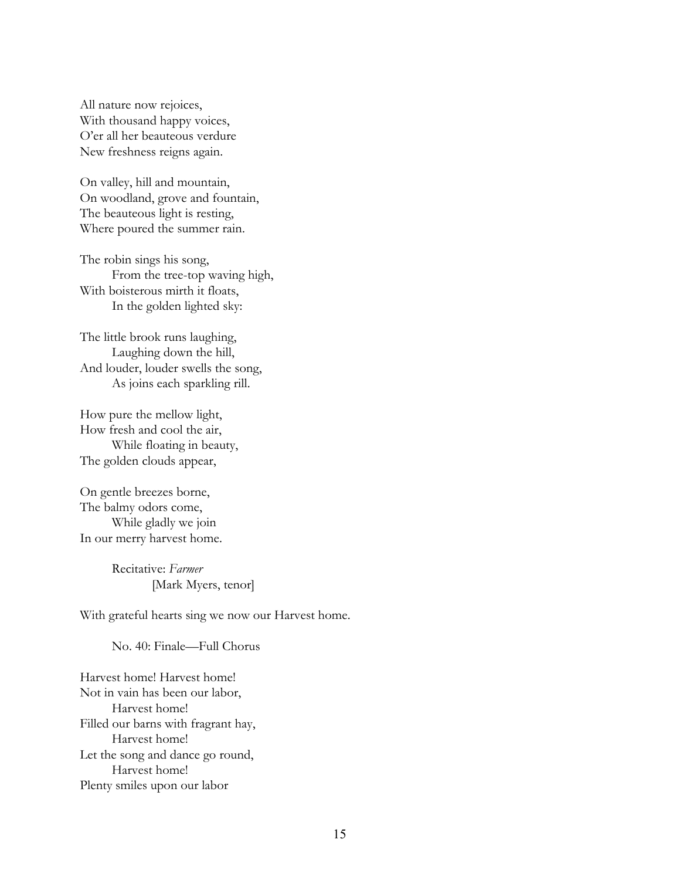All nature now rejoices, With thousand happy voices, O'er all her beauteous verdure New freshness reigns again.

On valley, hill and mountain, On woodland, grove and fountain, The beauteous light is resting, Where poured the summer rain.

The robin sings his song, From the tree-top waving high, With boisterous mirth it floats, In the golden lighted sky:

The little brook runs laughing, Laughing down the hill, And louder, louder swells the song, As joins each sparkling rill.

How pure the mellow light, How fresh and cool the air, While floating in beauty, The golden clouds appear,

On gentle breezes borne, The balmy odors come, While gladly we join In our merry harvest home.

> Recitative: *Farmer* [Mark Myers, tenor]

With grateful hearts sing we now our Harvest home.

No. 40: Finale—Full Chorus

Harvest home! Harvest home! Not in vain has been our labor, Harvest home! Filled our barns with fragrant hay, Harvest home! Let the song and dance go round, Harvest home! Plenty smiles upon our labor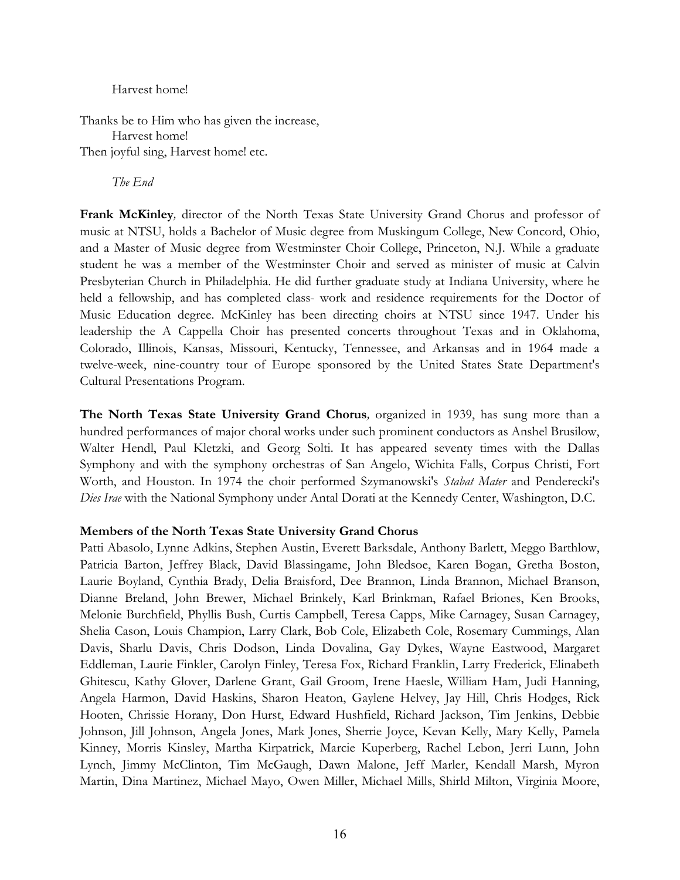#### Harvest home!

Thanks be to Him who has given the increase, Harvest home! Then joyful sing, Harvest home! etc.

*The End*

**Frank McKinley***,* director of the North Texas State University Grand Chorus and professor of music at NTSU, holds a Bachelor of Music degree from Muskingum College, New Concord, Ohio, and a Master of Music degree from Westminster Choir College, Princeton, N.J. While a graduate student he was a member of the Westminster Choir and served as minister of music at Calvin Presbyterian Church in Philadelphia. He did further graduate study at Indiana University, where he held a fellowship, and has completed class- work and residence requirements for the Doctor of Music Education degree. McKinley has been directing choirs at NTSU since 1947. Under his leadership the A Cappella Choir has presented concerts throughout Texas and in Oklahoma, Colorado, Illinois, Kansas, Missouri, Kentucky, Tennessee, and Arkansas and in 1964 made a twelve-week, nine-country tour of Europe sponsored by the United States State Department's Cultural Presentations Program.

**The North Texas State University Grand Chorus***,* organized in 1939, has sung more than a hundred performances of major choral works under such prominent conductors as Anshel Brusilow, Walter Hendl, Paul Kletzki, and Georg Solti. It has appeared seventy times with the Dallas Symphony and with the symphony orchestras of San Angelo, Wichita Falls, Corpus Christi, Fort Worth, and Houston. In 1974 the choir performed Szymanowski's *Stabat Mater* and Penderecki's *Dies Irae* with the National Symphony under Antal Dorati at the Kennedy Center, Washington, D.C.

# **Members of the North Texas State University Grand Chorus**

Patti Abasolo, Lynne Adkins, Stephen Austin, Everett Barksdale, Anthony Barlett, Meggo Barthlow, Patricia Barton, Jeffrey Black, David Blassingame, John Bledsoe, Karen Bogan, Gretha Boston, Laurie Boyland, Cynthia Brady, Delia Braisford, Dee Brannon, Linda Brannon, Michael Branson, Dianne Breland, John Brewer, Michael Brinkely, Karl Brinkman, Rafael Briones, Ken Brooks, Melonie Burchfield, Phyllis Bush, Curtis Campbell, Teresa Capps, Mike Carnagey, Susan Carnagey, Shelia Cason, Louis Champion, Larry Clark, Bob Cole, Elizabeth Cole, Rosemary Cummings, Alan Davis, Sharlu Davis, Chris Dodson, Linda Dovalina, Gay Dykes, Wayne Eastwood, Margaret Eddleman, Laurie Finkler, Carolyn Finley, Teresa Fox, Richard Franklin, Larry Frederick, Elinabeth Ghitescu, Kathy Glover, Darlene Grant, Gail Groom, Irene Haesle, William Ham, Judi Hanning, Angela Harmon, David Haskins, Sharon Heaton, Gaylene Helvey, Jay Hill, Chris Hodges, Rick Hooten, Chrissie Horany, Don Hurst, Edward Hushfield, Richard Jackson, Tim Jenkins, Debbie Johnson, Jill Johnson, Angela Jones, Mark Jones, Sherrie Joyce, Kevan Kelly, Mary Kelly, Pamela Kinney, Morris Kinsley, Martha Kirpatrick, Marcie Kuperberg, Rachel Lebon, Jerri Lunn, John Lynch, Jimmy McClinton, Tim McGaugh, Dawn Malone, Jeff Marler, Kendall Marsh, Myron Martin, Dina Martinez, Michael Mayo, Owen Miller, Michael Mills, Shirld Milton, Virginia Moore,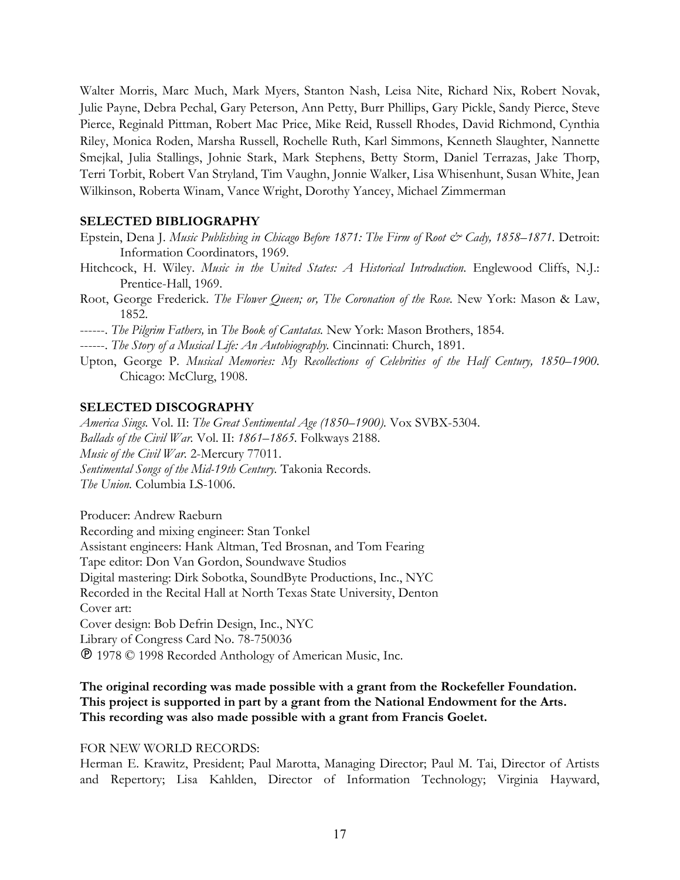Walter Morris, Marc Much, Mark Myers, Stanton Nash, Leisa Nite, Richard Nix, Robert Novak, Julie Payne, Debra Pechal, Gary Peterson, Ann Petty, Burr Phillips, Gary Pickle, Sandy Pierce, Steve Pierce, Reginald Pittman, Robert Mac Price, Mike Reid, Russell Rhodes, David Richmond, Cynthia Riley, Monica Roden, Marsha Russell, Rochelle Ruth, Karl Simmons, Kenneth Slaughter, Nannette Smejkal, Julia Stallings, Johnie Stark, Mark Stephens, Betty Storm, Daniel Terrazas, Jake Thorp, Terri Torbit, Robert Van Stryland, Tim Vaughn, Jonnie Walker, Lisa Whisenhunt, Susan White, Jean Wilkinson, Roberta Winam, Vance Wright, Dorothy Yancey, Michael Zimmerman

### **SELECTED BIBLIOGRAPHY**

- Epstein, Dena J. *Music Publishing in Chicago Before 1871: The Firm of Root & Cady, 1858–1871.* Detroit: Information Coordinators, 1969.
- Hitchcock, H. Wiley. *Music in the United States: A Historical Introduction.* Englewood Cliffs, N.J.: Prentice-Hall, 1969.
- Root, George Frederick. *The Flower Queen; or, The Coronation of the Rose.* New York: Mason & Law, 1852.

------. *The Pilgrim Fathers,* in *The Book of Cantatas.* New York: Mason Brothers, 1854.

------. *The Story of a Musical Life: An Autobiography.* Cincinnati: Church, 1891.

Upton, George P. *Musical Memories: My Recollections of Celebrities of the Half Century, 1850–1900.* Chicago: McClurg, 1908.

### **SELECTED DISCOGRAPHY**

*America Sings.* Vol. II: *The Great Sentimental Age (1850–1900).* Vox SVBX-5304. *Ballads of the Civil War.* Vol. II: *1861–1865.* Folkways 2188. *Music of the Civil War.* 2-Mercury 77011. *Sentimental Songs of the Mid-19th Century.* Takonia Records. *The Union.* Columbia LS-1006.

Producer: Andrew Raeburn Recording and mixing engineer: Stan Tonkel Assistant engineers: Hank Altman, Ted Brosnan, and Tom Fearing Tape editor: Don Van Gordon, Soundwave Studios Digital mastering: Dirk Sobotka, SoundByte Productions, Inc., NYC Recorded in the Recital Hall at North Texas State University, Denton Cover art: Cover design: Bob Defrin Design, Inc., NYC Library of Congress Card No. 78-750036 1978 © 1998 Recorded Anthology of American Music, Inc.

# **The original recording was made possible with a grant from the Rockefeller Foundation. This project is supported in part by a grant from the National Endowment for the Arts. This recording was also made possible with a grant from Francis Goelet.**

#### FOR NEW WORLD RECORDS:

Herman E. Krawitz, President; Paul Marotta, Managing Director; Paul M. Tai, Director of Artists and Repertory; Lisa Kahlden, Director of Information Technology; Virginia Hayward,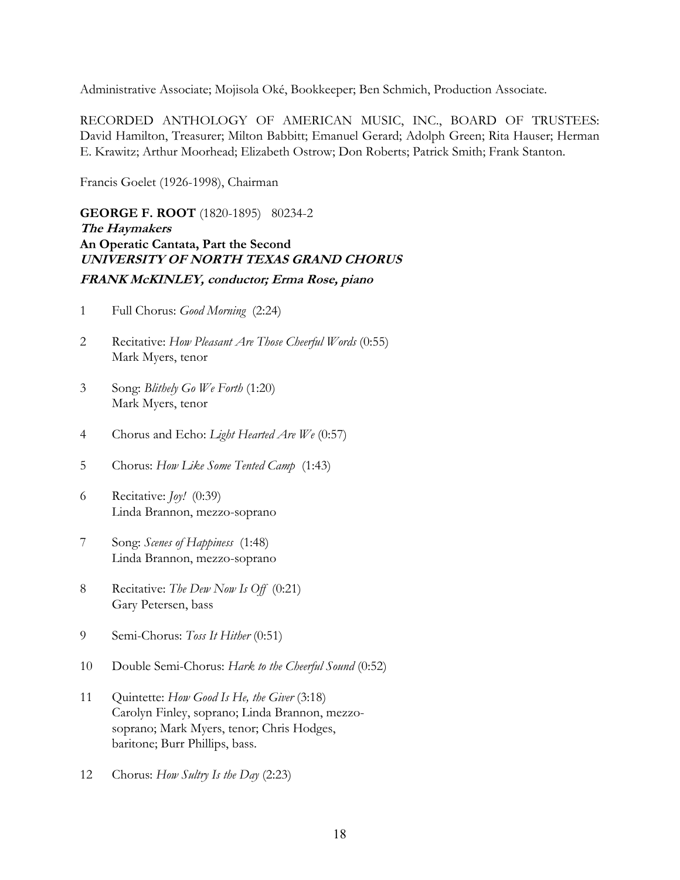Administrative Associate; Mojisola Oké, Bookkeeper; Ben Schmich, Production Associate.

RECORDED ANTHOLOGY OF AMERICAN MUSIC, INC., BOARD OF TRUSTEES: David Hamilton, Treasurer; Milton Babbitt; Emanuel Gerard; Adolph Green; Rita Hauser; Herman E. Krawitz; Arthur Moorhead; Elizabeth Ostrow; Don Roberts; Patrick Smith; Frank Stanton.

Francis Goelet (1926-1998), Chairman

**GEORGE F. ROOT** (1820-1895) 80234-2 **The Haymakers An Operatic Cantata, Part the Second UNIVERSITY OF NORTH TEXAS GRAND CHORUS FRANK McKINLEY, conductor; Erma Rose, piano** 

- 1 Full Chorus: *Good Morning* (2:24)
- 2 Recitative: *How Pleasant Are Those Cheerful Words* (0:55) Mark Myers, tenor
- 3 Song: *Blithely Go We Forth* (1:20) Mark Myers, tenor
- 4 Chorus and Echo: *Light Hearted Are We* (0:57)
- 5 Chorus: *How Like Some Tented Camp* (1:43)
- 6 Recitative: *Joy!* (0:39) Linda Brannon, mezzo-soprano
- 7 Song: *Scenes of Happiness* (1:48) Linda Brannon, mezzo-soprano
- 8 Recitative: *The Dew Now Is Off* (0:21) Gary Petersen, bass
- 9 Semi-Chorus: *Toss It Hither* (0:51)
- 10 Double Semi-Chorus: *Hark to the Cheerful Sound* (0:52)
- 11 Quintette: *How Good Is He, the Giver* (3:18) Carolyn Finley, soprano; Linda Brannon, mezzosoprano; Mark Myers, tenor; Chris Hodges, baritone; Burr Phillips, bass.
- 12 Chorus: *How Sultry Is the Day* (2:23)